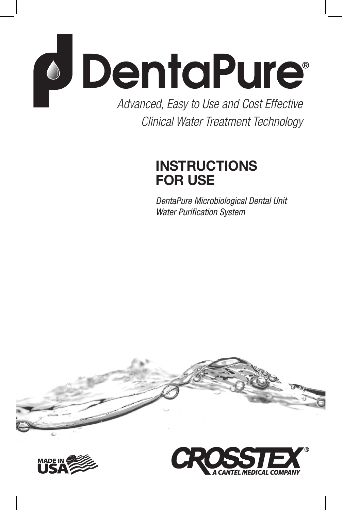

*Clinical Water Treatment Technology*

# **INSTRUCTIONS FOR USE**

*DentaPure Microbiological Dental Unit Water Purification System*





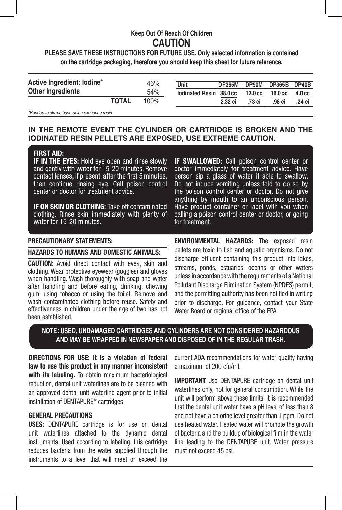# **Keep Out Of Reach Of Children CAUTION**

## **PLEASE SAVE THESE INSTRUCTIONS FOR FUTURE USE. Only selected information is contained on the cartridge packaging, therefore you should keep this sheet for future reference.**

| Active Ingredient: Iodine* |              | 46%  | Unit                    | <b>DP365M</b> | <b>DP90M</b> | <b>DP365B</b>     | DP40B                |
|----------------------------|--------------|------|-------------------------|---------------|--------------|-------------------|----------------------|
| <b>Other Ingredients</b>   |              | 54%  | lodinated Resin 38.0 cc |               | 12.0 cc      | $16.0 \text{ cc}$ | $4.0 \, \mathrm{cc}$ |
|                            | <b>TOTAL</b> | 100% |                         | 2.32 ci       | .73 ci       | .98 ci            | .24 ci               |
|                            |              |      |                         |               |              |                   |                      |

*\*Bonded to strong base anion exchange resin*

## **IN THE REMOTE EVENT THE CYLINDER OR CARTRIDGE IS BROKEN AND THE IODINATED RESIN PELLETS ARE EXPOSED, USE EXTREME CAUTION.**

#### **FIRST AID:**

**IF IN THE EYES:** Hold eye open and rinse slowly and gently with water for 15-20 minutes. Remove contact lenses, if present, after the first 5 minutes, then continue rinsing eye. Call poison control center or doctor for treatment advice.

**IF ON SKIN OR CLOTHING:** Take off contaminated clothing. Rinse skin immediately with plenty of water for 15-20 minutes.

### **PRECAUTIONARY STATEMENTS:**

### **HAZARDS TO HUMANS AND DOMESTIC ANIMALS:**

**CAUTION:** Avoid direct contact with eyes, skin and clothing. Wear protective eyewear (goggles) and gloves when handling. Wash thoroughly with soap and water after handling and before eating, drinking, chewing gum, using tobacco or using the toilet. Remove and wash contaminated clothing before reuse. Safety and effectiveness in children under the age of two has not been established.

**IF SWALLOWED:** Call poison control center or doctor immediately for treatment advice. Have person sip a glass of water if able to swallow. Do not induce vomiting unless told to do so by the poison control center or doctor. Do not give anything by mouth to an unconscious person. Have product container or label with you when calling a poison control center or doctor, or going for treatment.

**ENVIRONMENTAL HAZARDS:** The exposed resin pellets are toxic to fish and aquatic organisms. Do not discharge effluent containing this product into lakes, streams, ponds, estuaries, oceans or other waters unless in accordance with the requirements of a National Pollutant Discharge Elimination System (NPDES) permit, and the permitting authority has been notified in writing prior to discharge. For guidance, contact your State Water Board or regional office of the EPA.

## **NOTE: USED, UNDAMAGED CARTRIDGES AND CYLINDERS ARE NOT CONSIDERED HAZARDOUS AND MAY BE WRAPPED IN NEWSPAPER AND DISPOSED OF IN THE REGULAR TRASH.**

**DIRECTIONS FOR USE: It is a violation of federal law to use this product in any manner inconsistent with its labeling.** To obtain maximum bacteriological reduction, dental unit waterlines are to be cleaned with an approved dental unit waterline agent prior to initial installation of DENTAPURE® cartridges.

#### **GENERAL PRECAUTIONS**

**USES:** DENTAPURE cartridge is for use on dental unit waterlines attached to the dynamic dental instruments. Used according to labeling, this cartridge reduces bacteria from the water supplied through the instruments to a level that will meet or exceed the current ADA recommendations for water quality having a maximum of 200 cfu/ml.

**IMPORTANT** Use DENTAPURE cartridge on dental unit waterlines only, not for general consumption. While the unit will perform above these limits, it is recommended that the dental unit water have a pH level of less than 8 and not have a chlorine level greater than 1 ppm. Do not use heated water. Heated water will promote the growth of bacteria and the buildup of biological film in the water line leading to the DENTAPURE unit. Water pressure must not exceed 45 psi.